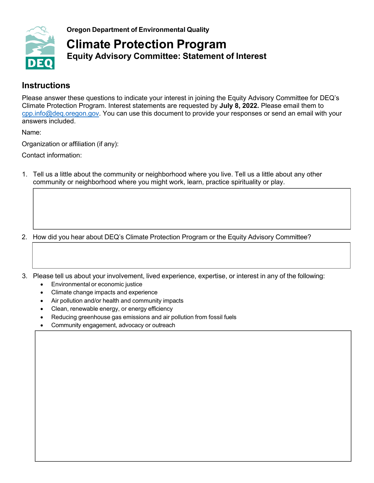

**Oregon Department of Environmental Quality**

# **Climate Protection Program Equity Advisory Committee: Statement of Interest**

### **Instructions**

Please answer these questions to indicate your interest in joining the Equity Advisory Committee for DEQ's Climate Protection Program. Interest statements are requested by **July 8, 2022.** Please email them to [cpp.info@deq.oregon.gov.](mailto:cpp.info@deq.oregon.gov) You can use this document to provide your responses or send an email with your answers included.

Name:

Organization or affiliation (if any):

Contact information:

1. Tell us a little about the community or neighborhood where you live. Tell us a little about any other community or neighborhood where you might work, learn, practice spirituality or play.

2. How did you hear about DEQ's Climate Protection Program or the Equity Advisory Committee?

- 3. Please tell us about your involvement, lived experience, expertise, or interest in any of the following:
	- Environmental or economic justice
	- Climate change impacts and experience
	- Air pollution and/or health and community impacts
	- Clean, renewable energy, or energy efficiency
	- Reducing greenhouse gas emissions and air pollution from fossil fuels
	- Community engagement, advocacy or outreach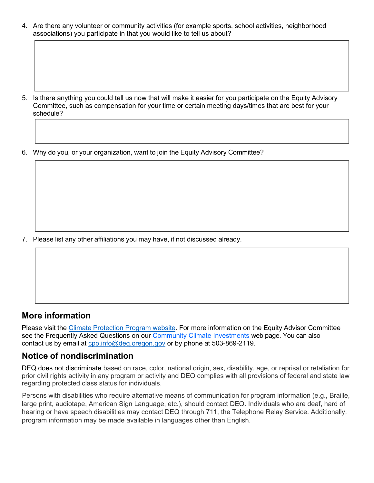4. Are there any volunteer or community activities (for example sports, school activities, neighborhood associations) you participate in that you would like to tell us about?

- 5. Is there anything you could tell us now that will make it easier for you participate on the Equity Advisory Committee, such as compensation for your time or certain meeting days/times that are best for your schedule?
- 6. Why do you, or your organization, want to join the Equity Advisory Committee?

7. Please list any other affiliations you may have, if not discussed already.

#### **More information**

Please visit the Climate [Protection](https://www.oregon.gov/deq/ghgp/cpp/Pages/default.aspx) Program website. For more information on the Equity Advisor Committee see the Frequently Asked Questions on our [Community Climate Investments](mailto:Community%20Climate%20Investments) web page. You can also contact us by email at [cpp.info@deq.oregon.gov](mailto:cpp.info@deq.oregon.gov) or by phone at 503-869-2119.

#### **Notice of nondiscrimination**

DEQ does not discriminate based on race, color, national origin, sex, disability, age, or reprisal or retaliation for prior civil rights activity in any program or activity and DEQ complies with all provisions of federal and state law regarding protected class status for individuals.

Persons with disabilities who require alternative means of communication for program information (e.g., Braille, large print, audiotape, American Sign Language, etc.), should contact DEQ. Individuals who are deaf, hard of hearing or have speech disabilities may contact DEQ through 711, the Telephone Relay Service. Additionally, program information may be made available in languages other than English.